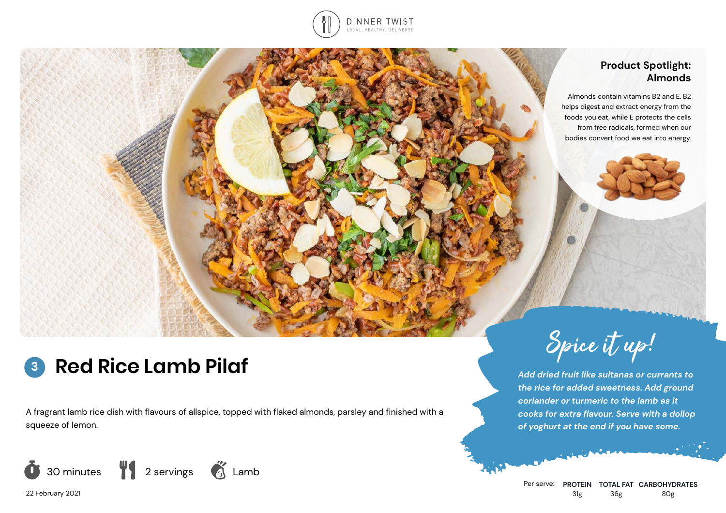

## **Product Spotlight: Almonds**

Almonds contain vitamins B2 and E. B2 helps digest and extract energy from the foods you eat, while E protects the cells from free radicals, formed when our bodies convert food we eat into energy.

### **Red Rice Lamb Pilaf 3**

A fragrant lamb rice dish with flavours of allspice, topped with flaked almonds, parsley and finished with a squeeze of lemon.



Spice it up!

*Add dried fruit like sultanas or currants to the rice for added sweetness. Add ground coriander or turmeric to the lamb as it cooks for extra flavour. Serve with a dollop of yoghurt at the end if you have some.*